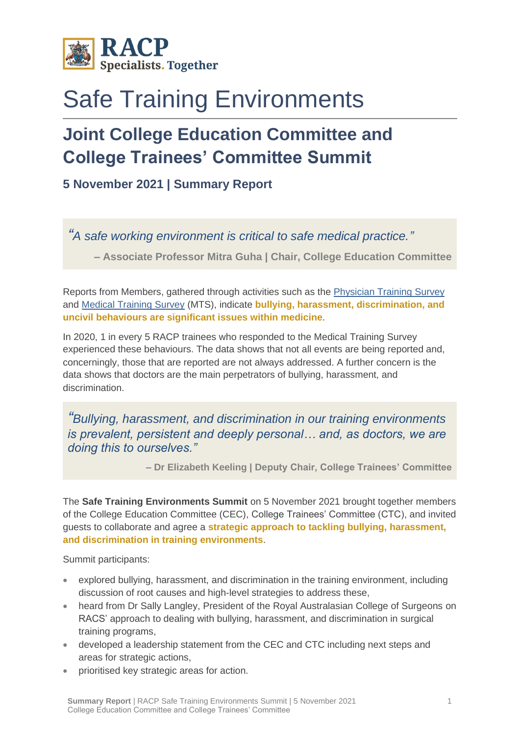

## Safe Training Environments

## **Joint College Education Committee and College Trainees' Committee Summit**

**5 November 2021 | Summary Report**

*"A safe working environment is critical to safe medical practice."*

**– Associate Professor Mitra Guha | Chair, College Education Committee**

Reports from Members, gathered through activities such as the [Physician Training Survey](https://www.racp.edu.au/trainees/physician-training-survey) and [Medical Training Survey](https://www.medicaltrainingsurvey.gov.au/) (MTS), indicate **bullying, harassment, discrimination, and uncivil behaviours are significant issues within medicine**.

In 2020, 1 in every 5 RACP trainees who responded to the Medical Training Survey experienced these behaviours. The data shows that not all events are being reported and, concerningly, those that are reported are not always addressed. A further concern is the data shows that doctors are the main perpetrators of bullying, harassment, and discrimination.

*"Bullying, harassment, and discrimination in our training environments is prevalent, persistent and deeply personal… and, as doctors, we are doing this to ourselves."*

**– Dr Elizabeth Keeling | Deputy Chair, College Trainees' Committee**

The **Safe Training Environments Summit** on 5 November 2021 brought together members of the College Education Committee (CEC), College Trainees' Committee (CTC), and invited guests to collaborate and agree a **strategic approach to tackling bullying, harassment, and discrimination in training environments**.

Summit participants:

- explored bullying, harassment, and discrimination in the training environment, including discussion of root causes and high-level strategies to address these,
- heard from Dr Sally Langley, President of the Royal Australasian College of Surgeons on RACS' approach to dealing with bullying, harassment, and discrimination in surgical training programs,
- developed a leadership statement from the CEC and CTC including next steps and areas for strategic actions,
- prioritised key strategic areas for action.